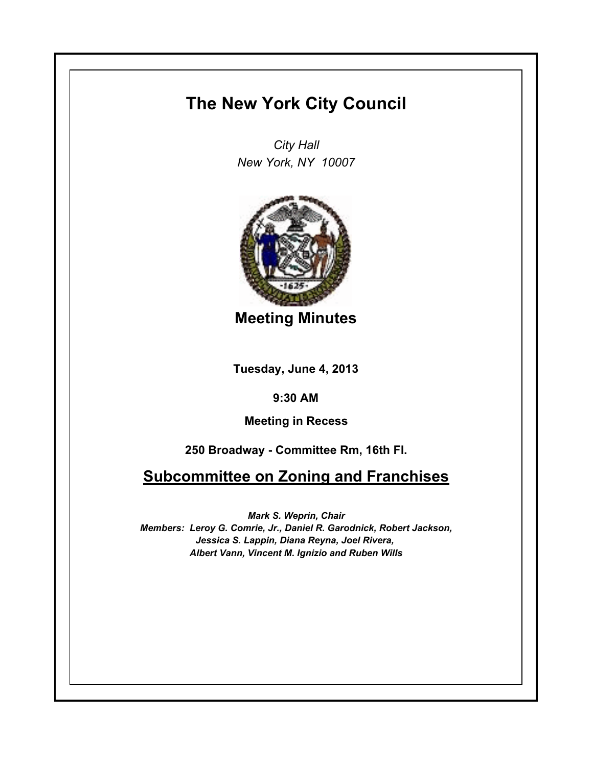# **The New York City Council**

*City Hall New York, NY 10007*



**Meeting Minutes**

**Tuesday, June 4, 2013**

**9:30 AM**

**Meeting in Recess**

**250 Broadway - Committee Rm, 16th Fl.**

**Subcommittee on Zoning and Franchises**

*Mark S. Weprin, Chair Members: Leroy G. Comrie, Jr., Daniel R. Garodnick, Robert Jackson, Jessica S. Lappin, Diana Reyna, Joel Rivera, Albert Vann, Vincent M. Ignizio and Ruben Wills*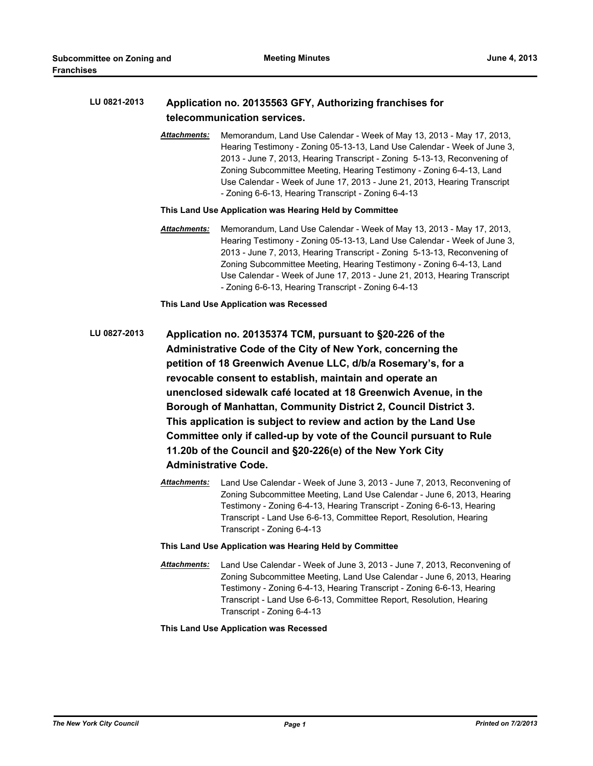# **LU 0821-2013 Application no. 20135563 GFY, Authorizing franchises for telecommunication services.**

*Attachments:* Memorandum, Land Use Calendar - Week of May 13, 2013 - May 17, 2013, Hearing Testimony - Zoning 05-13-13, Land Use Calendar - Week of June 3, 2013 - June 7, 2013, Hearing Transcript - Zoning 5-13-13, Reconvening of Zoning Subcommittee Meeting, Hearing Testimony - Zoning 6-4-13, Land Use Calendar - Week of June 17, 2013 - June 21, 2013, Hearing Transcript - Zoning 6-6-13, Hearing Transcript - Zoning 6-4-13

# **This Land Use Application was Hearing Held by Committee**

*Attachments:* Memorandum, Land Use Calendar - Week of May 13, 2013 - May 17, 2013, Hearing Testimony - Zoning 05-13-13, Land Use Calendar - Week of June 3, 2013 - June 7, 2013, Hearing Transcript - Zoning 5-13-13, Reconvening of Zoning Subcommittee Meeting, Hearing Testimony - Zoning 6-4-13, Land Use Calendar - Week of June 17, 2013 - June 21, 2013, Hearing Transcript - Zoning 6-6-13, Hearing Transcript - Zoning 6-4-13

**This Land Use Application was Recessed**

- **LU 0827-2013 Application no. 20135374 TCM, pursuant to §20-226 of the Administrative Code of the City of New York, concerning the petition of 18 Greenwich Avenue LLC, d/b/a Rosemary's, for a revocable consent to establish, maintain and operate an unenclosed sidewalk café located at 18 Greenwich Avenue, in the Borough of Manhattan, Community District 2, Council District 3. This application is subject to review and action by the Land Use Committee only if called-up by vote of the Council pursuant to Rule 11.20b of the Council and §20-226(e) of the New York City Administrative Code.**
	- *Attachments:* Land Use Calendar Week of June 3, 2013 June 7, 2013, Reconvening of Zoning Subcommittee Meeting, Land Use Calendar - June 6, 2013, Hearing Testimony - Zoning 6-4-13, Hearing Transcript - Zoning 6-6-13, Hearing Transcript - Land Use 6-6-13, Committee Report, Resolution, Hearing Transcript - Zoning 6-4-13
	- **This Land Use Application was Hearing Held by Committee**
	- *Attachments:* Land Use Calendar Week of June 3, 2013 June 7, 2013, Reconvening of Zoning Subcommittee Meeting, Land Use Calendar - June 6, 2013, Hearing Testimony - Zoning 6-4-13, Hearing Transcript - Zoning 6-6-13, Hearing Transcript - Land Use 6-6-13, Committee Report, Resolution, Hearing Transcript - Zoning 6-4-13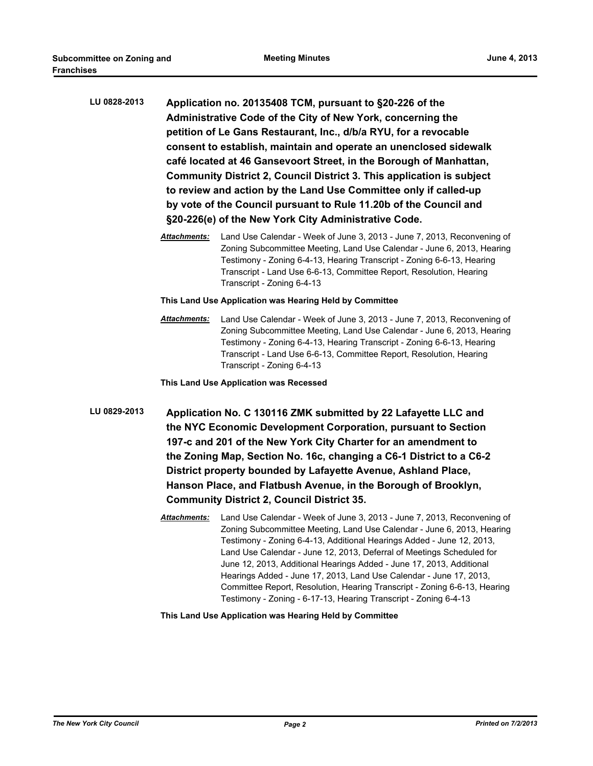| LU 0828-2013 | Application no. 20135408 TCM, pursuant to §20-226 of the<br>Administrative Code of the City of New York, concerning the<br>petition of Le Gans Restaurant, Inc., d/b/a RYU, for a revocable<br>consent to establish, maintain and operate an unenclosed sidewalk<br>café located at 46 Gansevoort Street, in the Borough of Manhattan,<br>Community District 2, Council District 3. This application is subject<br>to review and action by the Land Use Committee only if called-up<br>by vote of the Council pursuant to Rule 11.20b of the Council and<br>§20-226(e) of the New York City Administrative Code. |                                                                                                                                                                                                                                                                                                                                                                                                                                                   |  |  |  |
|--------------|------------------------------------------------------------------------------------------------------------------------------------------------------------------------------------------------------------------------------------------------------------------------------------------------------------------------------------------------------------------------------------------------------------------------------------------------------------------------------------------------------------------------------------------------------------------------------------------------------------------|---------------------------------------------------------------------------------------------------------------------------------------------------------------------------------------------------------------------------------------------------------------------------------------------------------------------------------------------------------------------------------------------------------------------------------------------------|--|--|--|
|              | Attachments:                                                                                                                                                                                                                                                                                                                                                                                                                                                                                                                                                                                                     | Land Use Calendar - Week of June 3, 2013 - June 7, 2013, Reconvening of<br>Zoning Subcommittee Meeting, Land Use Calendar - June 6, 2013, Hearing<br>Testimony - Zoning 6-4-13, Hearing Transcript - Zoning 6-6-13, Hearing<br>Transcript - Land Use 6-6-13, Committee Report, Resolution, Hearing<br>Transcript - Zoning 6-4-13                                                                                                                  |  |  |  |
|              | This Land Use Application was Hearing Held by Committee                                                                                                                                                                                                                                                                                                                                                                                                                                                                                                                                                          |                                                                                                                                                                                                                                                                                                                                                                                                                                                   |  |  |  |
|              | <u> Attachments:</u>                                                                                                                                                                                                                                                                                                                                                                                                                                                                                                                                                                                             | Land Use Calendar - Week of June 3, 2013 - June 7, 2013, Reconvening of<br>Zoning Subcommittee Meeting, Land Use Calendar - June 6, 2013, Hearing<br>Testimony - Zoning 6-4-13, Hearing Transcript - Zoning 6-6-13, Hearing<br>Transcript - Land Use 6-6-13, Committee Report, Resolution, Hearing<br>Transcript - Zoning 6-4-13                                                                                                                  |  |  |  |
|              | This Land Use Application was Recessed                                                                                                                                                                                                                                                                                                                                                                                                                                                                                                                                                                           |                                                                                                                                                                                                                                                                                                                                                                                                                                                   |  |  |  |
| LU 0829-2013 | Application No. C 130116 ZMK submitted by 22 Lafayette LLC and<br>the NYC Economic Development Corporation, pursuant to Section<br>197-c and 201 of the New York City Charter for an amendment to<br>the Zoning Map, Section No. 16c, changing a C6-1 District to a C6-2<br>District property bounded by Lafayette Avenue, Ashland Place,<br>Hanson Place, and Flatbush Avenue, in the Borough of Brooklyn,<br><b>Community District 2, Council District 35.</b>                                                                                                                                                 |                                                                                                                                                                                                                                                                                                                                                                                                                                                   |  |  |  |
|              | <u> Attachments:</u>                                                                                                                                                                                                                                                                                                                                                                                                                                                                                                                                                                                             | Land Use Calendar - Week of June 3, 2013 - June 7, 2013, Reconvening of<br>Zoning Subcommittee Meeting, Land Use Calendar - June 6, 2013, Hearing<br>Testimony - Zoning 6-4-13, Additional Hearings Added - June 12, 2013,<br>Land Use Calendar - June 12, 2013, Deferral of Meetings Scheduled for<br>June 12, 2013, Additional Hearings Added - June 17, 2013, Additional<br>Hearings Added - June 17, 2013, Land Use Calendar - June 17, 2013, |  |  |  |

**This Land Use Application was Hearing Held by Committee**

Committee Report, Resolution, Hearing Transcript - Zoning 6-6-13, Hearing

Testimony - Zoning - 6-17-13, Hearing Transcript - Zoning 6-4-13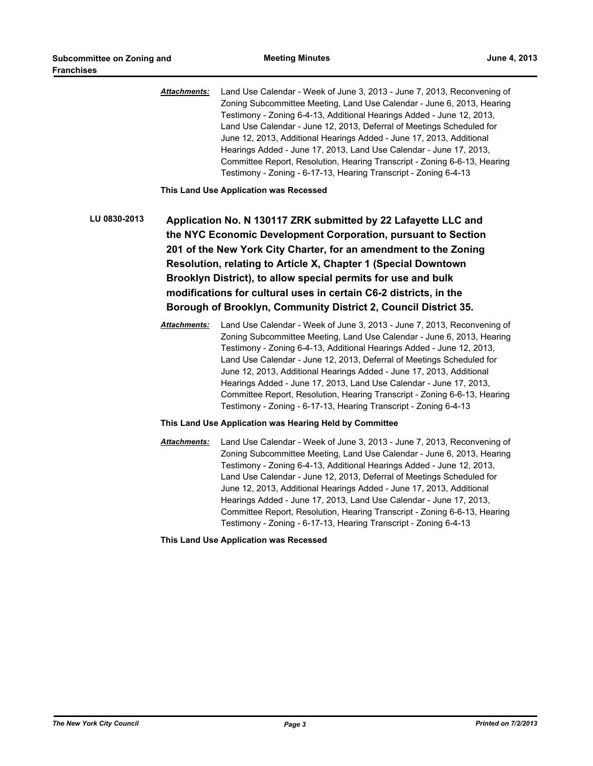*Attachments:* Land Use Calendar - Week of June 3, 2013 - June 7, 2013, Reconvening of Zoning Subcommittee Meeting, Land Use Calendar - June 6, 2013, Hearing Testimony - Zoning 6-4-13, Additional Hearings Added - June 12, 2013, Land Use Calendar - June 12, 2013, Deferral of Meetings Scheduled for June 12, 2013, Additional Hearings Added - June 17, 2013, Additional Hearings Added - June 17, 2013, Land Use Calendar - June 17, 2013, Committee Report, Resolution, Hearing Transcript - Zoning 6-6-13, Hearing Testimony - Zoning - 6-17-13, Hearing Transcript - Zoning 6-4-13

**This Land Use Application was Recessed**

**LU 0830-2013 Application No. N 130117 ZRK submitted by 22 Lafayette LLC and the NYC Economic Development Corporation, pursuant to Section 201 of the New York City Charter, for an amendment to the Zoning Resolution, relating to Article X, Chapter 1 (Special Downtown Brooklyn District), to allow special permits for use and bulk modifications for cultural uses in certain C6-2 districts, in the Borough of Brooklyn, Community District 2, Council District 35.**

> *Attachments:* Land Use Calendar - Week of June 3, 2013 - June 7, 2013, Reconvening of Zoning Subcommittee Meeting, Land Use Calendar - June 6, 2013, Hearing Testimony - Zoning 6-4-13, Additional Hearings Added - June 12, 2013, Land Use Calendar - June 12, 2013, Deferral of Meetings Scheduled for June 12, 2013, Additional Hearings Added - June 17, 2013, Additional Hearings Added - June 17, 2013, Land Use Calendar - June 17, 2013, Committee Report, Resolution, Hearing Transcript - Zoning 6-6-13, Hearing Testimony - Zoning - 6-17-13, Hearing Transcript - Zoning 6-4-13

#### **This Land Use Application was Hearing Held by Committee**

*Attachments:* Land Use Calendar - Week of June 3, 2013 - June 7, 2013, Reconvening of Zoning Subcommittee Meeting, Land Use Calendar - June 6, 2013, Hearing Testimony - Zoning 6-4-13, Additional Hearings Added - June 12, 2013, Land Use Calendar - June 12, 2013, Deferral of Meetings Scheduled for June 12, 2013, Additional Hearings Added - June 17, 2013, Additional Hearings Added - June 17, 2013, Land Use Calendar - June 17, 2013, Committee Report, Resolution, Hearing Transcript - Zoning 6-6-13, Hearing Testimony - Zoning - 6-17-13, Hearing Transcript - Zoning 6-4-13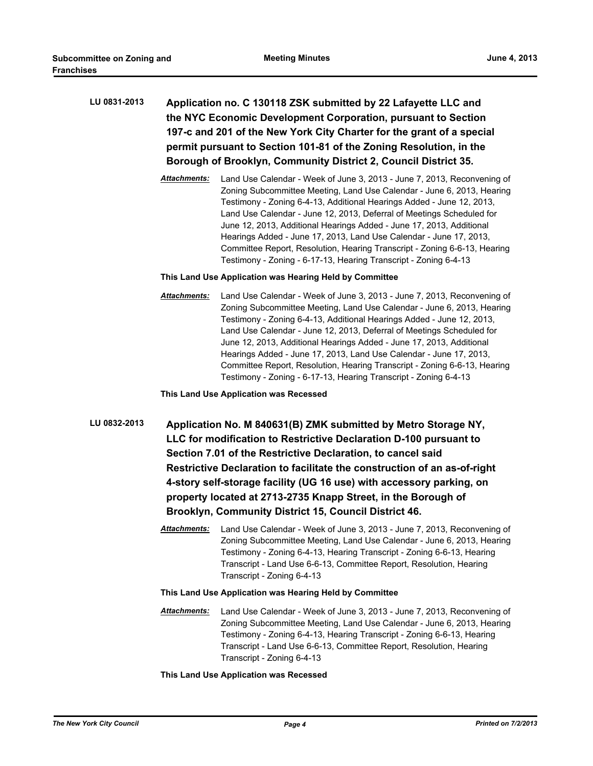| LU 0831-2013 | Application no. C 130118 ZSK submitted by 22 Lafayette LLC and        |
|--------------|-----------------------------------------------------------------------|
|              | the NYC Economic Development Corporation, pursuant to Section         |
|              | 197-c and 201 of the New York City Charter for the grant of a special |
|              | permit pursuant to Section 101-81 of the Zoning Resolution, in the    |
|              | Borough of Brooklyn, Community District 2, Council District 35.       |

*Attachments:* Land Use Calendar - Week of June 3, 2013 - June 7, 2013, Reconvening of Zoning Subcommittee Meeting, Land Use Calendar - June 6, 2013, Hearing Testimony - Zoning 6-4-13, Additional Hearings Added - June 12, 2013, Land Use Calendar - June 12, 2013, Deferral of Meetings Scheduled for June 12, 2013, Additional Hearings Added - June 17, 2013, Additional Hearings Added - June 17, 2013, Land Use Calendar - June 17, 2013, Committee Report, Resolution, Hearing Transcript - Zoning 6-6-13, Hearing Testimony - Zoning - 6-17-13, Hearing Transcript - Zoning 6-4-13

# **This Land Use Application was Hearing Held by Committee**

*Attachments:* Land Use Calendar - Week of June 3, 2013 - June 7, 2013, Reconvening of Zoning Subcommittee Meeting, Land Use Calendar - June 6, 2013, Hearing Testimony - Zoning 6-4-13, Additional Hearings Added - June 12, 2013, Land Use Calendar - June 12, 2013, Deferral of Meetings Scheduled for June 12, 2013, Additional Hearings Added - June 17, 2013, Additional Hearings Added - June 17, 2013, Land Use Calendar - June 17, 2013, Committee Report, Resolution, Hearing Transcript - Zoning 6-6-13, Hearing Testimony - Zoning - 6-17-13, Hearing Transcript - Zoning 6-4-13

**This Land Use Application was Recessed**

- **LU 0832-2013 Application No. M 840631(B) ZMK submitted by Metro Storage NY, LLC for modification to Restrictive Declaration D-100 pursuant to Section 7.01 of the Restrictive Declaration, to cancel said Restrictive Declaration to facilitate the construction of an as-of-right 4-story self-storage facility (UG 16 use) with accessory parking, on property located at 2713-2735 Knapp Street, in the Borough of Brooklyn, Community District 15, Council District 46.**
	- *Attachments:* Land Use Calendar Week of June 3, 2013 June 7, 2013, Reconvening of Zoning Subcommittee Meeting, Land Use Calendar - June 6, 2013, Hearing Testimony - Zoning 6-4-13, Hearing Transcript - Zoning 6-6-13, Hearing Transcript - Land Use 6-6-13, Committee Report, Resolution, Hearing Transcript - Zoning 6-4-13
	- **This Land Use Application was Hearing Held by Committee**
	- *Attachments:* Land Use Calendar Week of June 3, 2013 June 7, 2013, Reconvening of Zoning Subcommittee Meeting, Land Use Calendar - June 6, 2013, Hearing Testimony - Zoning 6-4-13, Hearing Transcript - Zoning 6-6-13, Hearing Transcript - Land Use 6-6-13, Committee Report, Resolution, Hearing Transcript - Zoning 6-4-13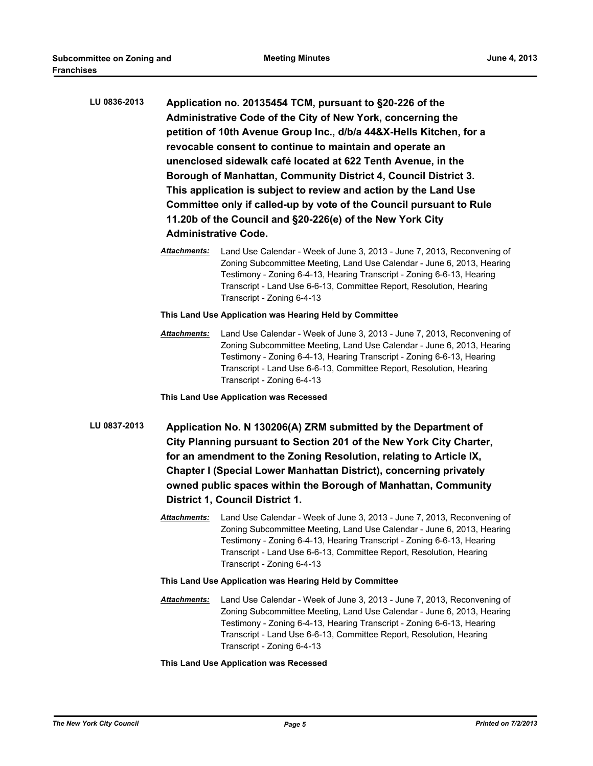| LU 0836-2013 | Application no. 20135454 TCM, pursuant to §20-226 of the<br>Administrative Code of the City of New York, concerning the<br>petition of 10th Avenue Group Inc., d/b/a 44&X-Hells Kitchen, for a<br>revocable consent to continue to maintain and operate an<br>unenclosed sidewalk café located at 622 Tenth Avenue, in the<br>Borough of Manhattan, Community District 4, Council District 3.<br>This application is subject to review and action by the Land Use<br>Committee only if called-up by vote of the Council pursuant to Rule<br>11.20b of the Council and §20-226(e) of the New York City<br><b>Administrative Code.</b> |                                                                                                                                                                                                                                                                                                                                  |  |
|--------------|--------------------------------------------------------------------------------------------------------------------------------------------------------------------------------------------------------------------------------------------------------------------------------------------------------------------------------------------------------------------------------------------------------------------------------------------------------------------------------------------------------------------------------------------------------------------------------------------------------------------------------------|----------------------------------------------------------------------------------------------------------------------------------------------------------------------------------------------------------------------------------------------------------------------------------------------------------------------------------|--|
|              | Attachments:                                                                                                                                                                                                                                                                                                                                                                                                                                                                                                                                                                                                                         | Land Use Calendar - Week of June 3, 2013 - June 7, 2013, Reconvening of<br>Zoning Subcommittee Meeting, Land Use Calendar - June 6, 2013, Hearing<br>Testimony - Zoning 6-4-13, Hearing Transcript - Zoning 6-6-13, Hearing<br>Transcript - Land Use 6-6-13, Committee Report, Resolution, Hearing<br>Transcript - Zoning 6-4-13 |  |
|              | This Land Use Application was Hearing Held by Committee                                                                                                                                                                                                                                                                                                                                                                                                                                                                                                                                                                              |                                                                                                                                                                                                                                                                                                                                  |  |
|              | <b>Attachments:</b>                                                                                                                                                                                                                                                                                                                                                                                                                                                                                                                                                                                                                  | Land Use Calendar - Week of June 3, 2013 - June 7, 2013, Reconvening of<br>Zoning Subcommittee Meeting, Land Use Calendar - June 6, 2013, Hearing<br>Testimony - Zoning 6-4-13, Hearing Transcript - Zoning 6-6-13, Hearing<br>Transcript - Land Use 6-6-13, Committee Report, Resolution, Hearing<br>Transcript - Zoning 6-4-13 |  |
|              | This Land Use Application was Recessed                                                                                                                                                                                                                                                                                                                                                                                                                                                                                                                                                                                               |                                                                                                                                                                                                                                                                                                                                  |  |
| LU 0837-2013 | Application No. N 130206(A) ZRM submitted by the Department of<br>City Planning pursuant to Section 201 of the New York City Charter,<br>for an amendment to the Zoning Resolution, relating to Article IX,<br>Chapter I (Special Lower Manhattan District), concerning privately<br>owned public spaces within the Borough of Manhattan, Community<br>District 1, Council District 1.                                                                                                                                                                                                                                               |                                                                                                                                                                                                                                                                                                                                  |  |
|              | <b>Attachments:</b>                                                                                                                                                                                                                                                                                                                                                                                                                                                                                                                                                                                                                  | Land Use Calendar - Week of June 3, 2013 - June 7, 2013, Reconvening of<br>Zoning Subcommittee Meeting, Land Use Calendar - June 6, 2013, Hearing<br>Testimony - Zoning 6-4-13, Hearing Transcript - Zoning 6-6-13, Hearing<br>Transcript - Land Use 6-6-13, Committee Report, Resolution, Hearing<br>Transcript - Zoning 6-4-13 |  |
|              | This Land Use Application was Hearing Held by Committee                                                                                                                                                                                                                                                                                                                                                                                                                                                                                                                                                                              |                                                                                                                                                                                                                                                                                                                                  |  |
|              | <b>Attachments:</b>                                                                                                                                                                                                                                                                                                                                                                                                                                                                                                                                                                                                                  | Land Use Calendar - Week of June 3, 2013 - June 7, 2013, Reconvening of<br>Zoning Subcommittee Meeting, Land Use Calendar - June 6, 2013, Hearing<br>Testimony - Zoning 6-4-13, Hearing Transcript - Zoning 6-6-13, Hearing<br>Transcript - Land Use 6-6-13, Committee Report, Resolution, Hearing<br>Transcript - Zoning 6-4-13 |  |